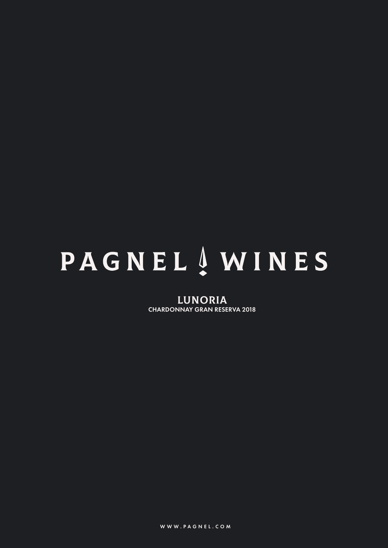# **PAGNEL** AWINES

LUNORIA CHARDONNAY GRAN RESERVA 2018

WWW.PAGNEL.COM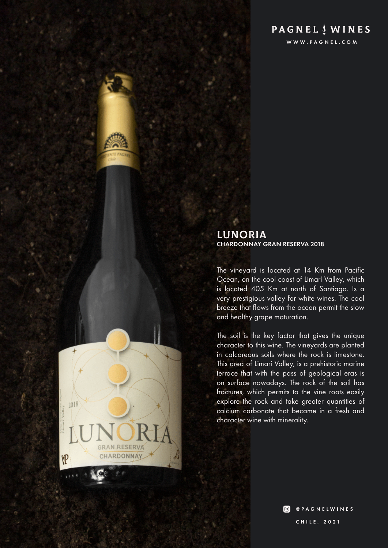# **PAGNEL**  $\frac{1}{2}$  **WINES**

WWW.PAGNEL.COM

### LUNORIA CHARDONNAY GRAN RESERVA 2018

The vineyard is located at 14 Km from Pacific Ocean, on the cool coast of Limarí Valley, which is located 405 Km at north of Santiago. Is a very prestigious valley for white wines. The cool breeze that flows from the ocean permit the slow and healthy grape maturation.

The soil is the key factor that gives the unique character to this wine. The vineyards are planted in calcareous soils where the rock is limestone. This area of Limarí Valley, is a prehistoric marine terrace that with the pass of geological eras is on surface nowadays. The rock of the soil has fractures, which permits to the vine roots easily explore the rock and take greater quantities of calcium carbonate that became in a fresh and character wine with minerality.

 $2018$ 

VP

**GRAN RESERVA** CHARDONNAY

> **O** @PAGNELWINES CHILE, 2021